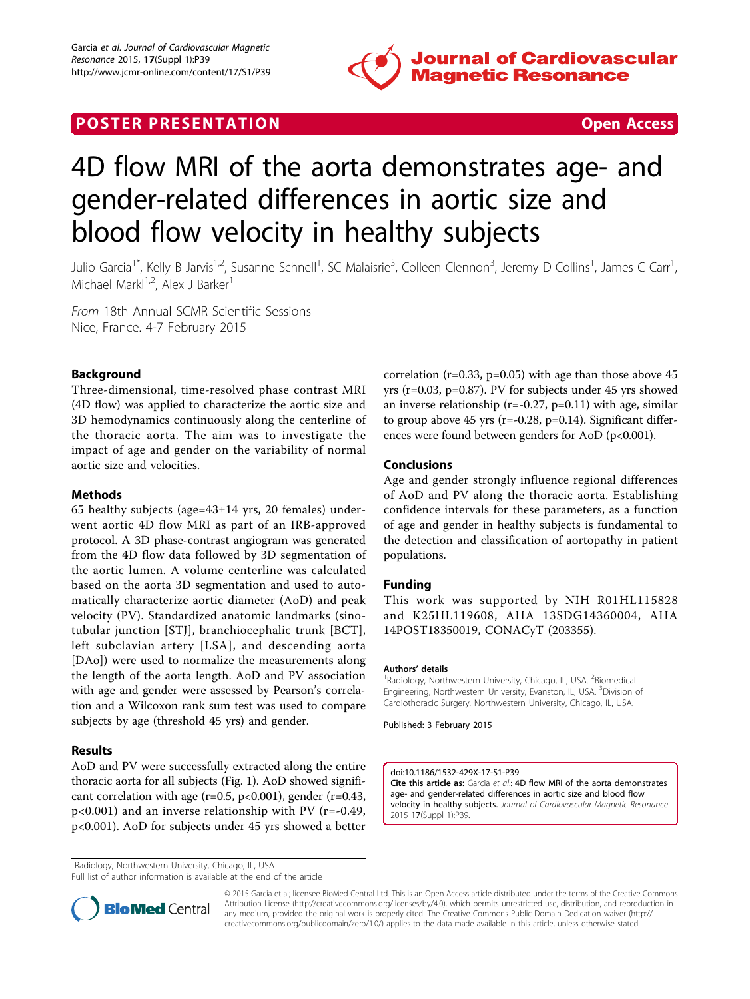

## **POSTER PRESENTATION CONSUMING THE SECOND CONSUMING THE SECOND CONSUMING THE SECOND CONSUMING THE SECOND CONSUMING THE SECOND CONSUMING THE SECOND CONSUMING THE SECOND CONSUMING THE SECOND CONSUMING THE SECOND CONSUMING**



# 4D flow MRI of the aorta demonstrates age- and gender-related differences in aortic size and blood flow velocity in healthy subjects

Julio Garcia<sup>1\*</sup>, Kelly B Jarvis<sup>1,2</sup>, Susanne Schnell<sup>1</sup>, SC Malaisrie<sup>3</sup>, Colleen Clennon<sup>3</sup>, Jeremy D Collins<sup>1</sup>, James C Carr<sup>1</sup> , Michael Mark $1^{1,2}$ , Alex J Barker<sup>1</sup>

From 18th Annual SCMR Scientific Sessions Nice, France. 4-7 February 2015

### Background

Three-dimensional, time-resolved phase contrast MRI (4D flow) was applied to characterize the aortic size and 3D hemodynamics continuously along the centerline of the thoracic aorta. The aim was to investigate the impact of age and gender on the variability of normal aortic size and velocities.

#### Methods

65 healthy subjects (age=43±14 yrs, 20 females) underwent aortic 4D flow MRI as part of an IRB-approved protocol. A 3D phase-contrast angiogram was generated from the 4D flow data followed by 3D segmentation of the aortic lumen. A volume centerline was calculated based on the aorta 3D segmentation and used to automatically characterize aortic diameter (AoD) and peak velocity (PV). Standardized anatomic landmarks (sinotubular junction [STJ], branchiocephalic trunk [BCT], left subclavian artery [LSA], and descending aorta [DAo]) were used to normalize the measurements along the length of the aorta length. AoD and PV association with age and gender were assessed by Pearson's correlation and a Wilcoxon rank sum test was used to compare subjects by age (threshold 45 yrs) and gender.

#### Results

AoD and PV were successfully extracted along the entire thoracic aorta for all subjects (Fig. [1\)](#page-1-0). AoD showed significant correlation with age (r=0.5, p<0.001), gender (r=0.43, p<0.001) and an inverse relationship with PV (r=-0.49, p<0.001). AoD for subjects under 45 yrs showed a better correlation ( $r=0.33$ ,  $p=0.05$ ) with age than those above 45 yrs (r=0.03, p=0.87). PV for subjects under 45 yrs showed an inverse relationship ( $r=-0.27$ ,  $p=0.11$ ) with age, similar to group above  $45$  yrs (r=-0.28, p=0.14). Significant differences were found between genders for AoD (p<0.001).

#### Conclusions

Age and gender strongly influence regional differences of AoD and PV along the thoracic aorta. Establishing confidence intervals for these parameters, as a function of age and gender in healthy subjects is fundamental to the detection and classification of aortopathy in patient populations.

#### Funding

This work was supported by NIH R01HL115828 and K25HL119608, AHA 13SDG14360004, AHA 14POST18350019, CONACyT (203355).

#### Authors' details <sup>1</sup>

Radiology, Northwestern University, Chicago, IL, USA. <sup>2</sup>Biomedical Engineering, Northwestern University, Evanston, IL, USA. <sup>3</sup>Division of Cardiothoracic Surgery, Northwestern University, Chicago, IL, USA.

Published: 3 February 2015

doi:10.1186/1532-429X-17-S1-P39 Cite this article as: Garcia et al.: 4D flow MRI of the aorta demonstrates age- and gender-related differences in aortic size and blood flow velocity in healthy subjects. Journal of Cardiovascular Magnetic Resonance 2015 17(Suppl 1):P39.

Full list of author information is available at the end of the article



© 2015 Garcia et al; licensee BioMed Central Ltd. This is an Open Access article distributed under the terms of the Creative Commons Attribution License [\(http://creativecommons.org/licenses/by/4.0](http://creativecommons.org/licenses/by/4.0)), which permits unrestricted use, distribution, and reproduction in any medium, provided the original work is properly cited. The Creative Commons Public Domain Dedication waiver [\(http://](http://creativecommons.org/publicdomain/zero/1.0/) [creativecommons.org/publicdomain/zero/1.0/](http://creativecommons.org/publicdomain/zero/1.0/)) applies to the data made available in this article, unless otherwise stated.

<sup>&</sup>lt;sup>1</sup> Radiology, Northwestern University, Chicago, IL, USA